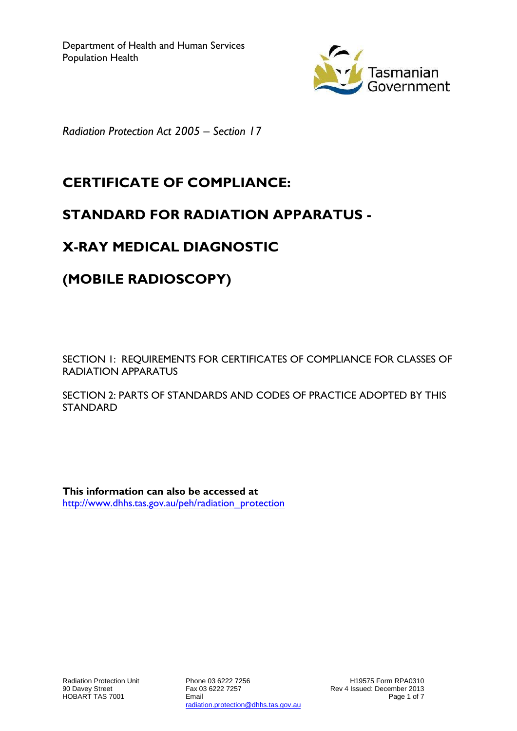

*Radiation Protection Act 2005 – Section 17*

## **CERTIFICATE OF COMPLIANCE:**

### **STANDARD FOR RADIATION APPARATUS -**

## **X-RAY MEDICAL DIAGNOSTIC**

# **(MOBILE RADIOSCOPY)**

SECTION 1: REQUIREMENTS FOR CERTIFICATES OF COMPLIANCE FOR CLASSES OF RADIATION APPARATUS

SECTION 2: PARTS OF STANDARDS AND CODES OF PRACTICE ADOPTED BY THIS STANDARD

**This information can also be accessed at** [http://www.dhhs.tas.gov.au/peh/radiation\\_protection](http://www.dhhs.tas.gov.au/peh/radiation_protection)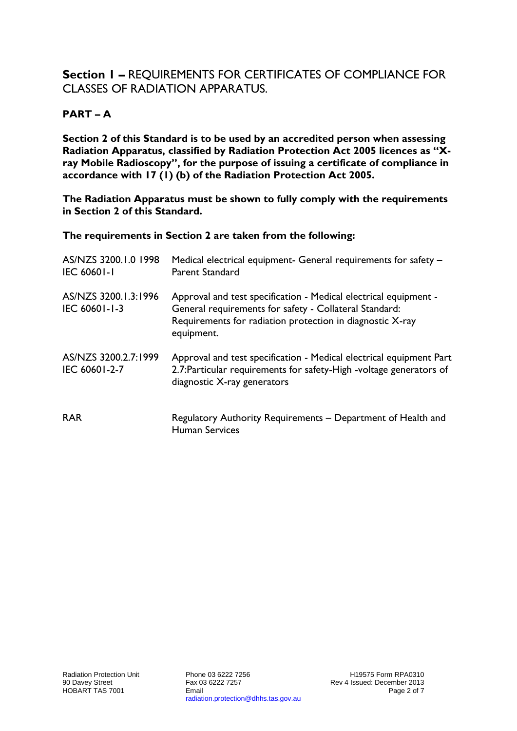#### **Section 1 –** REQUIREMENTS FOR CERTIFICATES OF COMPLIANCE FOR CLASSES OF RADIATION APPARATUS.

#### **PART – A**

**Section 2 of this Standard is to be used by an accredited person when assessing Radiation Apparatus, classified by Radiation Protection Act 2005 licences as "Xray Mobile Radioscopy", for the purpose of issuing a certificate of compliance in accordance with 17 (1) (b) of the Radiation Protection Act 2005.**

**The Radiation Apparatus must be shown to fully comply with the requirements in Section 2 of this Standard.**

**The requirements in Section 2 are taken from the following:**

| AS/NZS 3200.1.0 1998<br><b>IEC 60601-1</b> | Medical electrical equipment- General requirements for safety -<br>Parent Standard                                                                                                                    |
|--------------------------------------------|-------------------------------------------------------------------------------------------------------------------------------------------------------------------------------------------------------|
| AS/NZS 3200.1.3:1996<br>IEC 60601-1-3      | Approval and test specification - Medical electrical equipment -<br>General requirements for safety - Collateral Standard:<br>Requirements for radiation protection in diagnostic X-ray<br>equipment. |
| AS/NZS 3200.2.7:1999<br>IEC 60601-2-7      | Approval and test specification - Medical electrical equipment Part<br>2.7: Particular requirements for safety-High -voltage generators of<br>diagnostic X-ray generators                             |
| <b>RAR</b>                                 | Regulatory Authority Requirements - Department of Health and<br><b>Human Services</b>                                                                                                                 |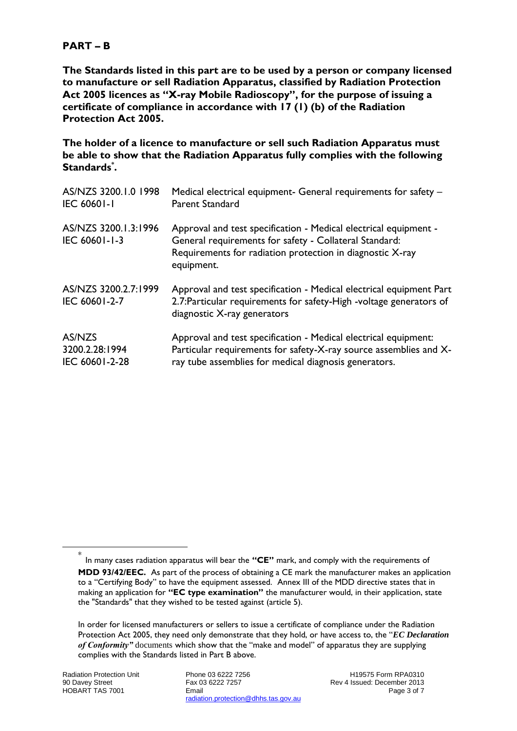#### **PART – B**

**The Standards listed in this part are to be used by a person or company licensed to manufacture or sell Radiation Apparatus, classified by Radiation Protection Act 2005 licences as "X-ray Mobile Radioscopy", for the purpose of issuing a certificate of compliance in accordance with 17 (1) (b) of the Radiation Protection Act 2005.**

**The holder of a licence to manufacture or sell such Radiation Apparatus must be able to show that the Radiation Apparatus fully complies with the following Standards\* .**

| AS/NZS 3200.1.0 1998                  | Medical electrical equipment- General requirements for safety -                                                                                                                                       |
|---------------------------------------|-------------------------------------------------------------------------------------------------------------------------------------------------------------------------------------------------------|
| <b>IEC 60601-1</b>                    | Parent Standard                                                                                                                                                                                       |
| AS/NZS 3200.1.3:1996<br>IEC 60601-1-3 | Approval and test specification - Medical electrical equipment -<br>General requirements for safety - Collateral Standard:<br>Requirements for radiation protection in diagnostic X-ray<br>equipment. |
| AS/NZS 3200.2.7:1999<br>IEC 60601-2-7 | Approval and test specification - Medical electrical equipment Part<br>2.7: Particular requirements for safety-High -voltage generators of<br>diagnostic X-ray generators                             |
| AS/NZS                                | Approval and test specification - Medical electrical equipment:                                                                                                                                       |
| 3200.2.28:1994                        | Particular requirements for safety-X-ray source assemblies and X-                                                                                                                                     |
| IEC 60601-2-28                        | ray tube assemblies for medical diagnosis generators.                                                                                                                                                 |

<u>.</u>

<sup>\*</sup> In many cases radiation apparatus will bear the **"CE"** mark, and comply with the requirements of **MDD 93/42/EEC.** As part of the process of obtaining a CE mark the manufacturer makes an application to a "Certifying Body" to have the equipment assessed. Annex III of the MDD directive states that in making an application for **"EC type examination"** the manufacturer would, in their application, state the "Standards" that they wished to be tested against (article 5).

In order for licensed manufacturers or sellers to issue a certificate of compliance under the Radiation Protection Act 2005, they need only demonstrate that they hold, or have access to, the "*EC Declaration of Conformity"* documents which show that the "make and model" of apparatus they are supplying complies with the Standards listed in Part B above.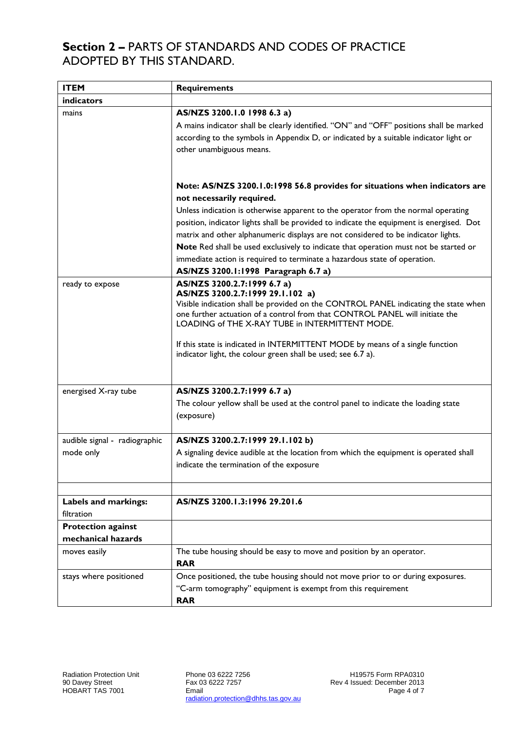### **Section 2 –** PARTS OF STANDARDS AND CODES OF PRACTICE ADOPTED BY THIS STANDARD.

| <b>ITEM</b>                                | <b>Requirements</b>                                                                                                                                                                                                                                                                                                                                                                                                                                                                                                                                                                        |  |  |
|--------------------------------------------|--------------------------------------------------------------------------------------------------------------------------------------------------------------------------------------------------------------------------------------------------------------------------------------------------------------------------------------------------------------------------------------------------------------------------------------------------------------------------------------------------------------------------------------------------------------------------------------------|--|--|
| <b>indicators</b>                          |                                                                                                                                                                                                                                                                                                                                                                                                                                                                                                                                                                                            |  |  |
| mains                                      | AS/NZS 3200.1.0 1998 6.3 a)<br>A mains indicator shall be clearly identified. "ON" and "OFF" positions shall be marked<br>according to the symbols in Appendix D, or indicated by a suitable indicator light or<br>other unambiguous means.                                                                                                                                                                                                                                                                                                                                                |  |  |
|                                            | Note: AS/NZS 3200.1.0:1998 56.8 provides for situations when indicators are<br>not necessarily required.<br>Unless indication is otherwise apparent to the operator from the normal operating<br>position, indicator lights shall be provided to indicate the equipment is energised. Dot<br>matrix and other alphanumeric displays are not considered to be indicator lights.<br>Note Red shall be used exclusively to indicate that operation must not be started or<br>immediate action is required to terminate a hazardous state of operation.<br>AS/NZS 3200.1:1998 Paragraph 6.7 a) |  |  |
| ready to expose                            | AS/NZS 3200.2.7:1999 6.7 a)<br>AS/NZS 3200.2.7:1999 29.1.102 a)<br>Visible indication shall be provided on the CONTROL PANEL indicating the state when<br>one further actuation of a control from that CONTROL PANEL will initiate the<br>LOADING of THE X-RAY TUBE in INTERMITTENT MODE.<br>If this state is indicated in INTERMITTENT MODE by means of a single function<br>indicator light, the colour green shall be used; see 6.7 a).                                                                                                                                                 |  |  |
| energised X-ray tube                       | AS/NZS 3200.2.7:1999 6.7 a)<br>The colour yellow shall be used at the control panel to indicate the loading state<br>(exposure)                                                                                                                                                                                                                                                                                                                                                                                                                                                            |  |  |
| audible signal - radiographic<br>mode only | AS/NZS 3200.2.7:1999 29.1.102 b)<br>A signaling device audible at the location from which the equipment is operated shall<br>indicate the termination of the exposure                                                                                                                                                                                                                                                                                                                                                                                                                      |  |  |
| Labels and markings:<br>filtration         | AS/NZS 3200.1.3:1996 29.201.6                                                                                                                                                                                                                                                                                                                                                                                                                                                                                                                                                              |  |  |
| <b>Protection against</b>                  |                                                                                                                                                                                                                                                                                                                                                                                                                                                                                                                                                                                            |  |  |
| mechanical hazards<br>moves easily         | The tube housing should be easy to move and position by an operator.<br><b>RAR</b>                                                                                                                                                                                                                                                                                                                                                                                                                                                                                                         |  |  |
| stays where positioned                     | Once positioned, the tube housing should not move prior to or during exposures.<br>"C-arm tomography" equipment is exempt from this requirement<br><b>RAR</b>                                                                                                                                                                                                                                                                                                                                                                                                                              |  |  |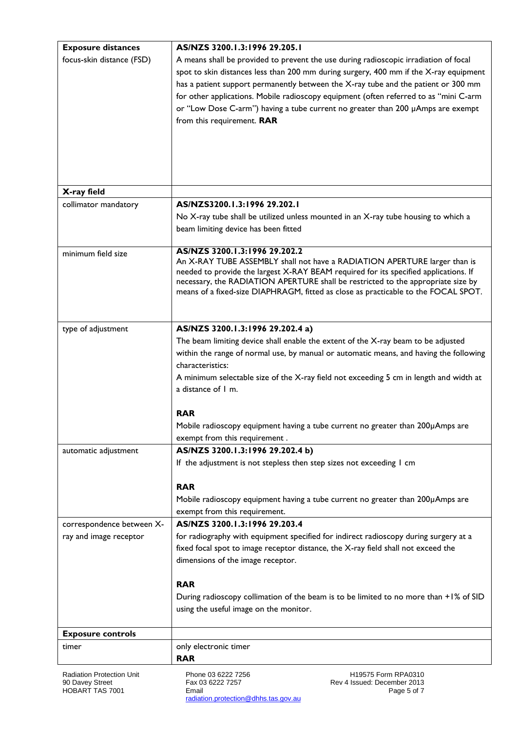| <b>Exposure distances</b>                 | AS/NZS 3200.1.3:1996 29.205.1                                                                                                                                            |  |  |  |  |
|-------------------------------------------|--------------------------------------------------------------------------------------------------------------------------------------------------------------------------|--|--|--|--|
| focus-skin distance (FSD)                 | A means shall be provided to prevent the use during radioscopic irradiation of focal                                                                                     |  |  |  |  |
|                                           | spot to skin distances less than 200 mm during surgery, 400 mm if the X-ray equipment                                                                                    |  |  |  |  |
|                                           | has a patient support permanently between the X-ray tube and the patient or 300 mm                                                                                       |  |  |  |  |
|                                           | for other applications. Mobile radioscopy equipment (often referred to as "mini C-arm                                                                                    |  |  |  |  |
|                                           | or "Low Dose C-arm") having a tube current no greater than 200 µAmps are exempt                                                                                          |  |  |  |  |
|                                           | from this requirement. RAR                                                                                                                                               |  |  |  |  |
|                                           |                                                                                                                                                                          |  |  |  |  |
|                                           |                                                                                                                                                                          |  |  |  |  |
|                                           |                                                                                                                                                                          |  |  |  |  |
|                                           |                                                                                                                                                                          |  |  |  |  |
| X-ray field                               |                                                                                                                                                                          |  |  |  |  |
| collimator mandatory                      | AS/NZS3200.1.3:1996 29.202.1                                                                                                                                             |  |  |  |  |
|                                           | No X-ray tube shall be utilized unless mounted in an X-ray tube housing to which a                                                                                       |  |  |  |  |
|                                           | beam limiting device has been fitted                                                                                                                                     |  |  |  |  |
|                                           |                                                                                                                                                                          |  |  |  |  |
| minimum field size                        | AS/NZS 3200.1.3:1996 29.202.2                                                                                                                                            |  |  |  |  |
|                                           | An X-RAY TUBE ASSEMBLY shall not have a RADIATION APERTURE larger than is                                                                                                |  |  |  |  |
|                                           | needed to provide the largest X-RAY BEAM required for its specified applications. If<br>necessary, the RADIATION APERTURE shall be restricted to the appropriate size by |  |  |  |  |
|                                           | means of a fixed-size DIAPHRAGM, fitted as close as practicable to the FOCAL SPOT.                                                                                       |  |  |  |  |
|                                           |                                                                                                                                                                          |  |  |  |  |
|                                           |                                                                                                                                                                          |  |  |  |  |
| type of adjustment                        | AS/NZS 3200.1.3:1996 29.202.4 a)                                                                                                                                         |  |  |  |  |
|                                           | The beam limiting device shall enable the extent of the X-ray beam to be adjusted                                                                                        |  |  |  |  |
|                                           | within the range of normal use, by manual or automatic means, and having the following                                                                                   |  |  |  |  |
|                                           | characteristics:                                                                                                                                                         |  |  |  |  |
|                                           | A minimum selectable size of the X-ray field not exceeding 5 cm in length and width at                                                                                   |  |  |  |  |
|                                           | a distance of 1 m.                                                                                                                                                       |  |  |  |  |
|                                           |                                                                                                                                                                          |  |  |  |  |
|                                           | <b>RAR</b>                                                                                                                                                               |  |  |  |  |
|                                           | Mobile radioscopy equipment having a tube current no greater than 200µAmps are                                                                                           |  |  |  |  |
|                                           | exempt from this requirement.                                                                                                                                            |  |  |  |  |
| automatic adjustment                      | AS/NZS 3200.1.3:1996 29.202.4 b)                                                                                                                                         |  |  |  |  |
|                                           | If the adjustment is not stepless then step sizes not exceeding I cm                                                                                                     |  |  |  |  |
|                                           | <b>RAR</b>                                                                                                                                                               |  |  |  |  |
|                                           |                                                                                                                                                                          |  |  |  |  |
|                                           | Mobile radioscopy equipment having a tube current no greater than 200µAmps are<br>exempt from this requirement.                                                          |  |  |  |  |
| correspondence between X-                 | AS/NZS 3200.1.3:1996 29.203.4                                                                                                                                            |  |  |  |  |
| ray and image receptor                    | for radiography with equipment specified for indirect radioscopy during surgery at a                                                                                     |  |  |  |  |
|                                           | fixed focal spot to image receptor distance, the X-ray field shall not exceed the                                                                                        |  |  |  |  |
|                                           | dimensions of the image receptor.                                                                                                                                        |  |  |  |  |
|                                           |                                                                                                                                                                          |  |  |  |  |
|                                           | <b>RAR</b>                                                                                                                                                               |  |  |  |  |
|                                           | During radioscopy collimation of the beam is to be limited to no more than +1% of SID                                                                                    |  |  |  |  |
|                                           | using the useful image on the monitor.                                                                                                                                   |  |  |  |  |
|                                           |                                                                                                                                                                          |  |  |  |  |
| <b>Exposure controls</b>                  |                                                                                                                                                                          |  |  |  |  |
| timer                                     | only electronic timer                                                                                                                                                    |  |  |  |  |
|                                           | <b>RAR</b>                                                                                                                                                               |  |  |  |  |
| Radiation Protection Unit                 | Phone 03 6222 7256<br>H19575 Form RPA0310                                                                                                                                |  |  |  |  |
| 90 Davey Street<br><b>HOBART TAS 7001</b> | Fax 03 6222 7257<br>Rev 4 Issued: December 2013<br>Page 5 of 7<br>Email                                                                                                  |  |  |  |  |
|                                           |                                                                                                                                                                          |  |  |  |  |

radiation.protection@dhhs.tas.gov.au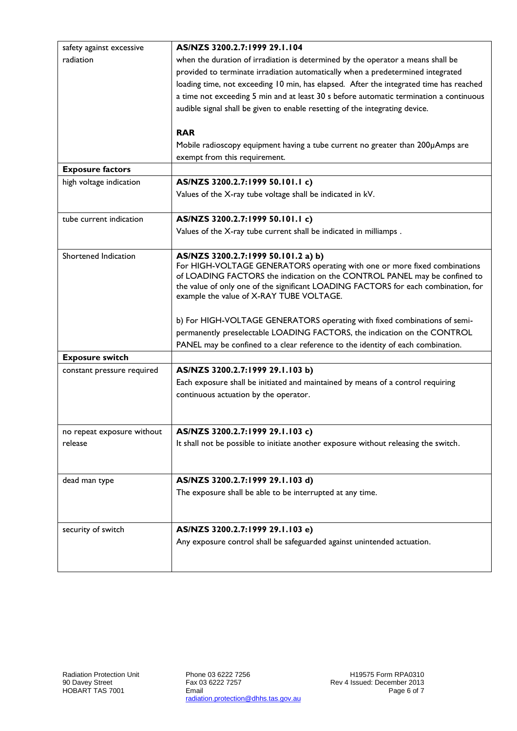| safety against excessive   | AS/NZS 3200.2.7:1999 29.1.104                                                          |  |  |  |  |
|----------------------------|----------------------------------------------------------------------------------------|--|--|--|--|
| radiation                  | when the duration of irradiation is determined by the operator a means shall be        |  |  |  |  |
|                            | provided to terminate irradiation automatically when a predetermined integrated        |  |  |  |  |
|                            | loading time, not exceeding 10 min, has elapsed. After the integrated time has reached |  |  |  |  |
|                            | a time not exceeding 5 min and at least 30 s before automatic termination a continuous |  |  |  |  |
|                            | audible signal shall be given to enable resetting of the integrating device.           |  |  |  |  |
|                            |                                                                                        |  |  |  |  |
|                            | <b>RAR</b>                                                                             |  |  |  |  |
|                            | Mobile radioscopy equipment having a tube current no greater than 200µAmps are         |  |  |  |  |
|                            | exempt from this requirement.                                                          |  |  |  |  |
| <b>Exposure factors</b>    |                                                                                        |  |  |  |  |
| high voltage indication    | AS/NZS 3200.2.7:1999 50.101.1 c)                                                       |  |  |  |  |
|                            | Values of the X-ray tube voltage shall be indicated in kV.                             |  |  |  |  |
| tube current indication    | AS/NZS 3200.2.7:1999 50.101.1 c)                                                       |  |  |  |  |
|                            | Values of the X-ray tube current shall be indicated in milliamps.                      |  |  |  |  |
| Shortened Indication       | AS/NZS 3200.2.7:1999 50.101.2 a) b)                                                    |  |  |  |  |
|                            | For HIGH-VOLTAGE GENERATORS operating with one or more fixed combinations              |  |  |  |  |
|                            | of LOADING FACTORS the indication on the CONTROL PANEL may be confined to              |  |  |  |  |
|                            | the value of only one of the significant LOADING FACTORS for each combination, for     |  |  |  |  |
|                            | example the value of X-RAY TUBE VOLTAGE.                                               |  |  |  |  |
|                            | b) For HIGH-VOLTAGE GENERATORS operating with fixed combinations of semi-              |  |  |  |  |
|                            | permanently preselectable LOADING FACTORS, the indication on the CONTROL               |  |  |  |  |
|                            | PANEL may be confined to a clear reference to the identity of each combination.        |  |  |  |  |
| <b>Exposure switch</b>     |                                                                                        |  |  |  |  |
| constant pressure required | AS/NZS 3200.2.7:1999 29.1.103 b)                                                       |  |  |  |  |
|                            | Each exposure shall be initiated and maintained by means of a control requiring        |  |  |  |  |
|                            | continuous actuation by the operator.                                                  |  |  |  |  |
|                            |                                                                                        |  |  |  |  |
|                            |                                                                                        |  |  |  |  |
| no repeat exposure without | AS/NZS 3200.2.7:1999 29.1.103 c)                                                       |  |  |  |  |
| release                    | It shall not be possible to initiate another exposure without releasing the switch.    |  |  |  |  |
|                            |                                                                                        |  |  |  |  |
| dead man type              | AS/NZS 3200.2.7:1999 29.1.103 d)                                                       |  |  |  |  |
|                            | The exposure shall be able to be interrupted at any time.                              |  |  |  |  |
|                            |                                                                                        |  |  |  |  |
| security of switch         | AS/NZS 3200.2.7:1999 29.1.103 e)                                                       |  |  |  |  |
|                            | Any exposure control shall be safeguarded against unintended actuation.                |  |  |  |  |
|                            |                                                                                        |  |  |  |  |
|                            |                                                                                        |  |  |  |  |